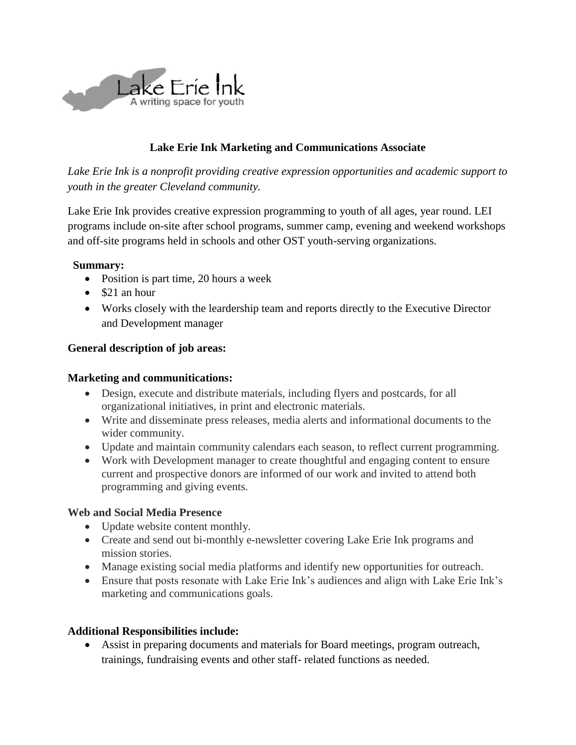

# **Lake Erie Ink Marketing and Communications Associate**

*Lake Erie Ink is a nonprofit providing creative expression opportunities and academic support to youth in the greater Cleveland community.*

Lake Erie Ink provides creative expression programming to youth of all ages, year round. LEI programs include on-site after school programs, summer camp, evening and weekend workshops and off-site programs held in schools and other OST youth-serving organizations.

#### **Summary:**

- Position is part time, 20 hours a week
- $\bullet$  \$21 an hour
- Works closely with the leardership team and reports directly to the Executive Director and Development manager

#### **General description of job areas:**

#### **Marketing and communitications:**

- Design, execute and distribute materials, including flyers and postcards, for all organizational initiatives, in print and electronic materials.
- Write and disseminate press releases, media alerts and informational documents to the wider community.
- Update and maintain community calendars each season, to reflect current programming.
- Work with Development manager to create thoughtful and engaging content to ensure current and prospective donors are informed of our work and invited to attend both programming and giving events.

#### **Web and Social Media Presence**

- Update website content monthly.
- Create and send out bi-monthly e-newsletter covering Lake Erie Ink programs and mission stories.
- Manage existing social media platforms and identify new opportunities for outreach.
- Ensure that posts resonate with Lake Erie Ink's audiences and align with Lake Erie Ink's marketing and communications goals.

#### **Additional Responsibilities include:**

 Assist in preparing documents and materials for Board meetings, program outreach, trainings, fundraising events and other staff- related functions as needed.